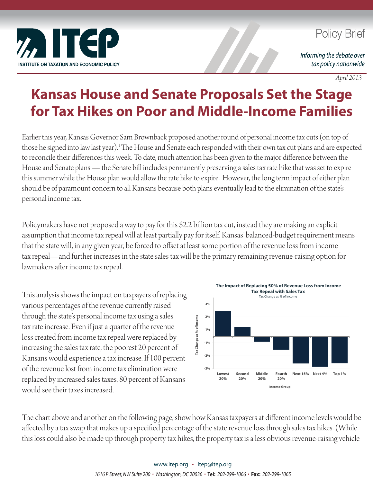

## **Policy Brief**

Informing the debate over tax policy nationwide

*April 2013*

## **Kansas House and Senate Proposals Set the Stage for Tax Hikes on Poor and Middle-Income Families**

Earlier this year, Kansas Governor Sam Brownback proposed another round of personal income tax cuts (on top of those he signed into law last year).<sup>1</sup> The House and Senate each responded with their own tax cut plans and are expected to reconcile their differences this week. To date, much attention has been given to the major difference between the House and Senate plans — the Senate bill includes permanently preserving a sales tax rate hike that was set to expire this summer while the House plan would allow the rate hike to expire. However, the long term impact of either plan should be of paramount concern to all Kansans because both plans eventually lead to the elimination of the state's personal income tax.

Policymakers have not proposed a way to pay for this \$2.2 billion tax cut, instead they are making an explicit assumption that income tax repeal will at least partially pay for itself. Kansas' balanced-budget requirement means that the state will, in any given year, be forced to offset at least some portion of the revenue loss from income tax repeal—and further increases in the state sales tax will be the primary remaining revenue-raising option for lawmakers after income tax repeal.

This analysis shows the impact on taxpayers of replacing various percentages of the revenue currently raised through the state's personal income tax using a sales tax rate increase. Even if just a quarter of the revenue loss created from income tax repeal were replaced by increasing the sales tax rate, the poorest 20 percent of Kansans would experience a tax increase. If 100 percent of the revenue lost from income tax elimination were replaced by increased sales taxes, 80 percent of Kansans would see their taxes increased.



The chart above and another on the following page, show how Kansas taxpayers at different income levels would be affected by a tax swap that makes up a specified percentage of the state revenue loss through sales tax hikes. (While this loss could also be made up through property tax hikes, the property tax is a less obvious revenue-raising vehicle